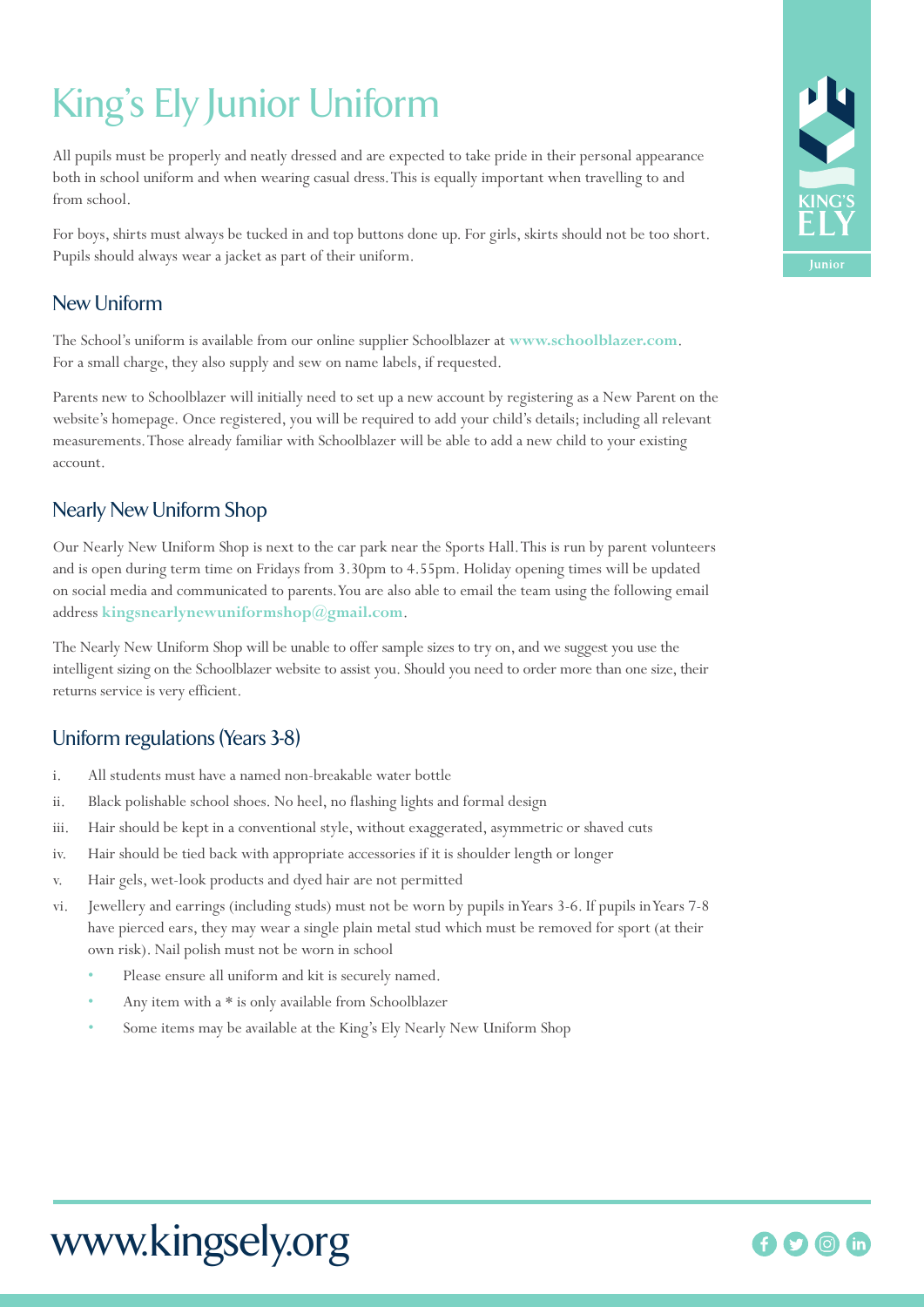# King's Ely Junior Uniform

All pupils must be properly and neatly dressed and are expected to take pride in their personal appearance both in school uniform and when wearing casual dress. This is equally important when travelling to and from school.

For boys, shirts must always be tucked in and top buttons done up. For girls, skirts should not be too short. Pupils should always wear a jacket as part of their uniform.

## New Uniform

The School's uniform is available from our online supplier Schoolblazer at **www.schoolblazer.com**. For a small charge, they also supply and sew on name labels, if requested.

Parents new to Schoolblazer will initially need to set up a new account by registering as a New Parent on the website's homepage. Once registered, you will be required to add your child's details; including all relevant measurements. Those already familiar with Schoolblazer will be able to add a new child to your existing account.

### Nearly New Uniform Shop

Our Nearly New Uniform Shop is next to the car park near the Sports Hall. This is run by parent volunteers and is open during term time on Fridays from 3.30pm to 4.55pm. Holiday opening times will be updated on social media and communicated to parents. You are also able to email the team using the following email address **kingsnearlynewuniformshop@gmail.com**.

The Nearly New Uniform Shop will be unable to offer sample sizes to try on, and we suggest you use the intelligent sizing on the Schoolblazer website to assist you. Should you need to order more than one size, their returns service is very efficient.

# Uniform regulations (Years 3-8)

- i. All students must have a named non-breakable water bottle
- ii. Black polishable school shoes. No heel, no flashing lights and formal design
- iii. Hair should be kept in a conventional style, without exaggerated, asymmetric or shaved cuts
- iv. Hair should be tied back with appropriate accessories if it is shoulder length or longer
- v. Hair gels, wet-look products and dyed hair are not permitted
- vi. Jewellery and earrings (including studs) must not be worn by pupils in Years 3-6. If pupils in Years 7-8 have pierced ears, they may wear a single plain metal stud which must be removed for sport (at their own risk). Nail polish must not be worn in school
	- Please ensure all uniform and kit is securely named.
	- Any item with a \* is only available from Schoolblazer
	- Some items may be available at the King's Ely Nearly New Uniform Shop



# www.kingsely.org